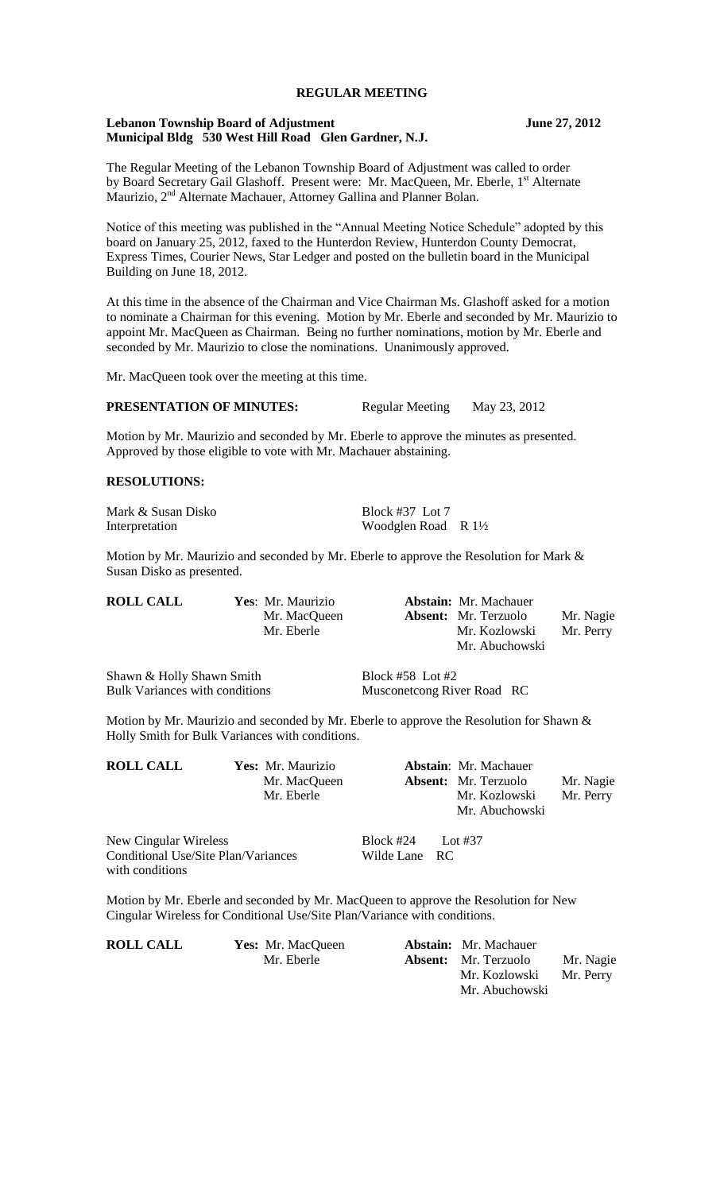## **REGULAR MEETING**

#### **Lebanon Township Board of Adjustment June 27, 2012 Municipal Bldg 530 West Hill Road Glen Gardner, N.J.**

The Regular Meeting of the Lebanon Township Board of Adjustment was called to order by Board Secretary Gail Glashoff. Present were: Mr. MacQueen, Mr. Eberle, 1<sup>st</sup> Alternate Maurizio, 2<sup>nd</sup> Alternate Machauer, Attorney Gallina and Planner Bolan.

Notice of this meeting was published in the "Annual Meeting Notice Schedule" adopted by this board on January 25, 2012, faxed to the Hunterdon Review, Hunterdon County Democrat, Express Times, Courier News, Star Ledger and posted on the bulletin board in the Municipal Building on June 18, 2012.

At this time in the absence of the Chairman and Vice Chairman Ms. Glashoff asked for a motion to nominate a Chairman for this evening. Motion by Mr. Eberle and seconded by Mr. Maurizio to appoint Mr. MacQueen as Chairman. Being no further nominations, motion by Mr. Eberle and seconded by Mr. Maurizio to close the nominations. Unanimously approved.

Mr. MacQueen took over the meeting at this time.

## **PRESENTATION OF MINUTES:** Regular Meeting May 23, 2012

Motion by Mr. Maurizio and seconded by Mr. Eberle to approve the minutes as presented. Approved by those eligible to vote with Mr. Machauer abstaining.

## **RESOLUTIONS:**

Mark & Susan Disko<br>Interpretation Block #37 Lot 7<br>Woodglen Road

Woodglen Road R 1½

Motion by Mr. Maurizio and seconded by Mr. Eberle to approve the Resolution for Mark  $\&$ Susan Disko as presented.

| <b>ROLL CALL</b> | Yes: Mr. Maurizio | <b>Abstain:</b> Mr. Machauer |           |
|------------------|-------------------|------------------------------|-----------|
|                  | Mr. MacQueen      | <b>Absent:</b> Mr. Terzuolo  | Mr. Nagie |
|                  | Mr. Eberle        | Mr. Kozlowski                | Mr. Perry |
|                  |                   | Mr. Abuchowski               |           |
|                  |                   |                              |           |

Shawn & Holly Shawn Smith Block #58 Lot #2 Bulk Variances with conditions Musconetcong River Road RC

Motion by Mr. Maurizio and seconded by Mr. Eberle to approve the Resolution for Shawn & Holly Smith for Bulk Variances with conditions.

| <b>ROLL CALL</b> | Yes: Mr. Maurizio          | <b>Abstain:</b> Mr. Machauer                 |                        |
|------------------|----------------------------|----------------------------------------------|------------------------|
|                  | Mr. MacQueen<br>Mr. Eberle | <b>Absent:</b> Mr. Terzuolo<br>Mr. Kozlowski | Mr. Nagie<br>Mr. Perry |
|                  |                            | Mr. Abuchowski                               |                        |

New Cingular Wireless Block #24 Lot #37 Conditional Use/Site Plan/Variances Wilde Lane RC with conditions

Motion by Mr. Eberle and seconded by Mr. MacQueen to approve the Resolution for New Cingular Wireless for Conditional Use/Site Plan/Variance with conditions.

| <b>ROLL CALL</b> | Yes: Mr. MacQueen | <b>Abstain:</b> Mr. Machauer |           |
|------------------|-------------------|------------------------------|-----------|
|                  | Mr. Eberle        | <b>Absent:</b> Mr. Terzuolo  | Mr. Nagie |
|                  |                   | Mr. Kozlowski                | Mr. Perry |
|                  |                   | Mr. Abuchowski               |           |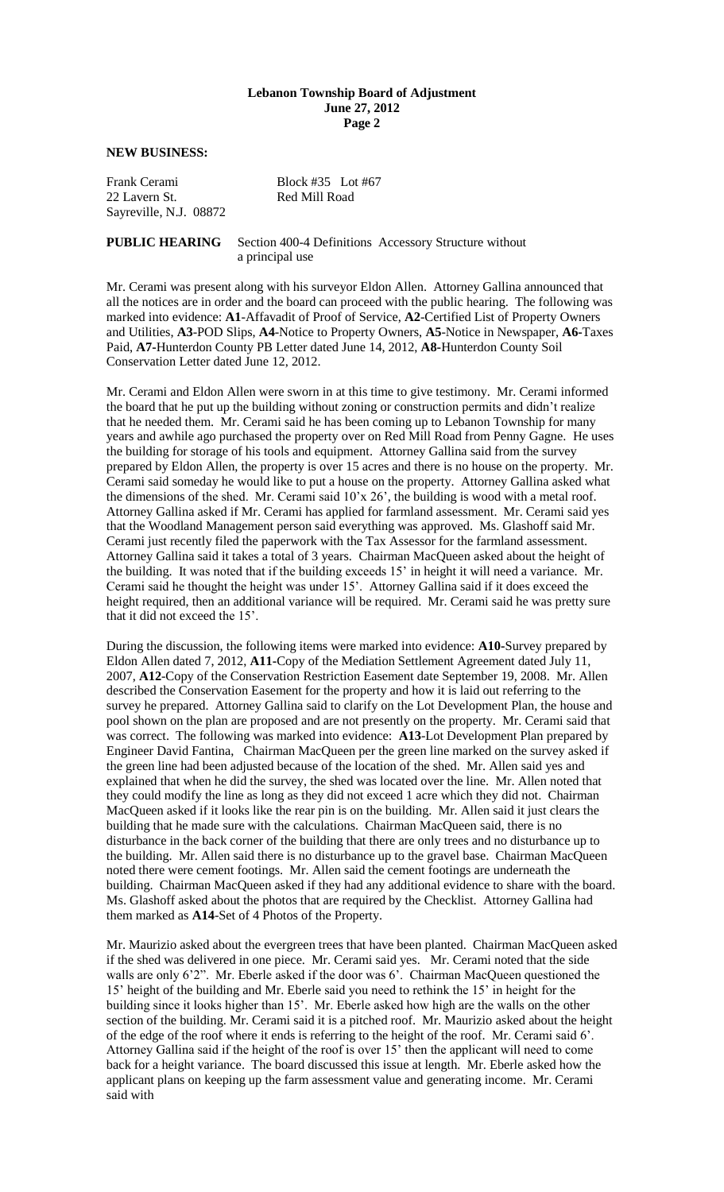#### **Lebanon Township Board of Adjustment June 27, 2012 Page 2**

**NEW BUSINESS:**

Frank Cerami Block #35 Lot #67 22 Lavern St. Red Mill Road Sayreville, N.J. 08872

### **PUBLIC HEARING** Section 400-4 Definitions Accessory Structure without a principal use

Mr. Cerami was present along with his surveyor Eldon Allen. Attorney Gallina announced that all the notices are in order and the board can proceed with the public hearing. The following was marked into evidence: **A1**-Affavadit of Proof of Service, **A2**-Certified List of Property Owners and Utilities, **A3**-POD Slips, **A4**-Notice to Property Owners, **A5**-Notice in Newspaper, **A6-**Taxes Paid, **A7-**Hunterdon County PB Letter dated June 14, 2012, **A8-**Hunterdon County Soil Conservation Letter dated June 12, 2012.

Mr. Cerami and Eldon Allen were sworn in at this time to give testimony. Mr. Cerami informed the board that he put up the building without zoning or construction permits and didn't realize that he needed them. Mr. Cerami said he has been coming up to Lebanon Township for many years and awhile ago purchased the property over on Red Mill Road from Penny Gagne. He uses the building for storage of his tools and equipment. Attorney Gallina said from the survey prepared by Eldon Allen, the property is over 15 acres and there is no house on the property. Mr. Cerami said someday he would like to put a house on the property. Attorney Gallina asked what the dimensions of the shed. Mr. Cerami said  $10'x\,26'$ , the building is wood with a metal roof. Attorney Gallina asked if Mr. Cerami has applied for farmland assessment. Mr. Cerami said yes that the Woodland Management person said everything was approved. Ms. Glashoff said Mr. Cerami just recently filed the paperwork with the Tax Assessor for the farmland assessment. Attorney Gallina said it takes a total of 3 years. Chairman MacQueen asked about the height of the building. It was noted that if the building exceeds 15' in height it will need a variance. Mr. Cerami said he thought the height was under 15'. Attorney Gallina said if it does exceed the height required, then an additional variance will be required. Mr. Cerami said he was pretty sure that it did not exceed the 15'.

During the discussion, the following items were marked into evidence: **A10-**Survey prepared by Eldon Allen dated 7, 2012, **A11-**Copy of the Mediation Settlement Agreement dated July 11, 2007, **A12**-Copy of the Conservation Restriction Easement date September 19, 2008. Mr. Allen described the Conservation Easement for the property and how it is laid out referring to the survey he prepared. Attorney Gallina said to clarify on the Lot Development Plan, the house and pool shown on the plan are proposed and are not presently on the property. Mr. Cerami said that was correct. The following was marked into evidence: **A13**-Lot Development Plan prepared by Engineer David Fantina, Chairman MacQueen per the green line marked on the survey asked if the green line had been adjusted because of the location of the shed. Mr. Allen said yes and explained that when he did the survey, the shed was located over the line. Mr. Allen noted that they could modify the line as long as they did not exceed 1 acre which they did not. Chairman MacQueen asked if it looks like the rear pin is on the building. Mr. Allen said it just clears the building that he made sure with the calculations. Chairman MacQueen said, there is no disturbance in the back corner of the building that there are only trees and no disturbance up to the building. Mr. Allen said there is no disturbance up to the gravel base. Chairman MacQueen noted there were cement footings. Mr. Allen said the cement footings are underneath the building. Chairman MacQueen asked if they had any additional evidence to share with the board. Ms. Glashoff asked about the photos that are required by the Checklist. Attorney Gallina had them marked as **A14**-Set of 4 Photos of the Property.

Mr. Maurizio asked about the evergreen trees that have been planted. Chairman MacQueen asked if the shed was delivered in one piece. Mr. Cerami said yes. Mr. Cerami noted that the side walls are only 6'2". Mr. Eberle asked if the door was 6'. Chairman MacQueen questioned the 15' height of the building and Mr. Eberle said you need to rethink the 15' in height for the building since it looks higher than 15'. Mr. Eberle asked how high are the walls on the other section of the building. Mr. Cerami said it is a pitched roof. Mr. Maurizio asked about the height of the edge of the roof where it ends is referring to the height of the roof. Mr. Cerami said 6'. Attorney Gallina said if the height of the roof is over 15' then the applicant will need to come back for a height variance. The board discussed this issue at length. Mr. Eberle asked how the applicant plans on keeping up the farm assessment value and generating income. Mr. Cerami said with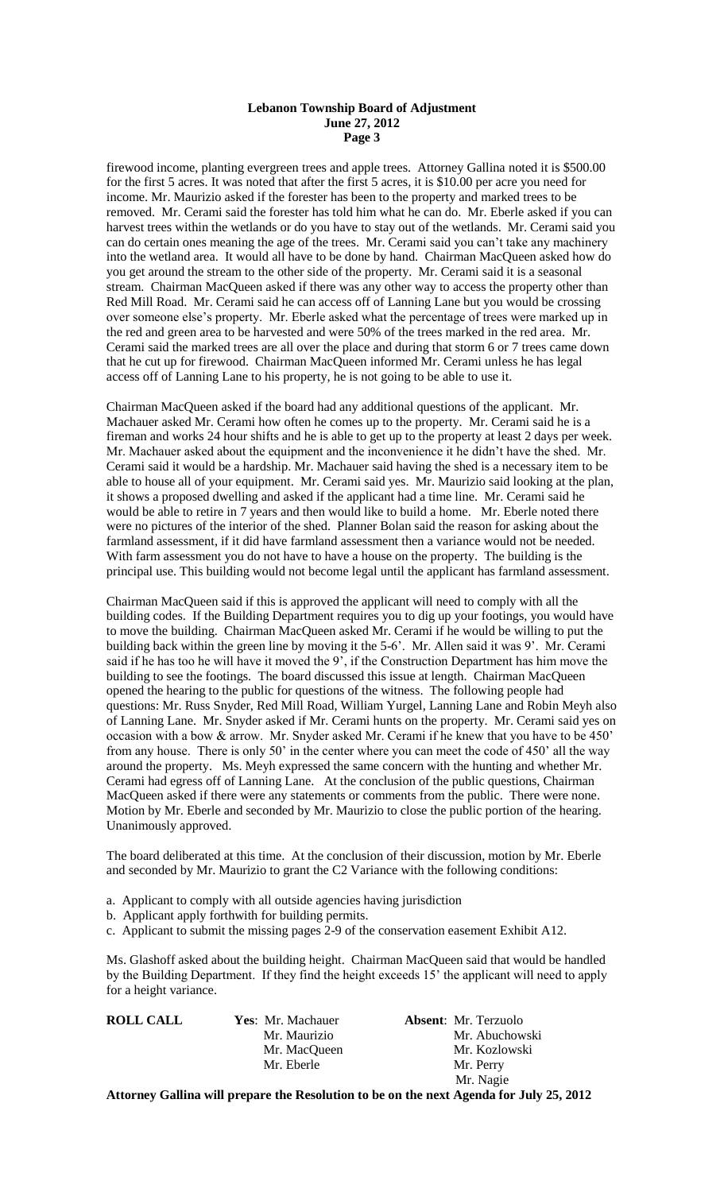### **Lebanon Township Board of Adjustment June 27, 2012 Page 3**

firewood income, planting evergreen trees and apple trees. Attorney Gallina noted it is \$500.00 for the first 5 acres. It was noted that after the first 5 acres, it is \$10.00 per acre you need for income. Mr. Maurizio asked if the forester has been to the property and marked trees to be removed. Mr. Cerami said the forester has told him what he can do. Mr. Eberle asked if you can harvest trees within the wetlands or do you have to stay out of the wetlands. Mr. Cerami said you can do certain ones meaning the age of the trees. Mr. Cerami said you can't take any machinery into the wetland area. It would all have to be done by hand. Chairman MacQueen asked how do you get around the stream to the other side of the property. Mr. Cerami said it is a seasonal stream. Chairman MacQueen asked if there was any other way to access the property other than Red Mill Road. Mr. Cerami said he can access off of Lanning Lane but you would be crossing over someone else's property. Mr. Eberle asked what the percentage of trees were marked up in the red and green area to be harvested and were 50% of the trees marked in the red area. Mr. Cerami said the marked trees are all over the place and during that storm 6 or 7 trees came down that he cut up for firewood. Chairman MacQueen informed Mr. Cerami unless he has legal access off of Lanning Lane to his property, he is not going to be able to use it.

Chairman MacQueen asked if the board had any additional questions of the applicant. Mr. Machauer asked Mr. Cerami how often he comes up to the property. Mr. Cerami said he is a fireman and works 24 hour shifts and he is able to get up to the property at least 2 days per week. Mr. Machauer asked about the equipment and the inconvenience it he didn't have the shed. Mr. Cerami said it would be a hardship. Mr. Machauer said having the shed is a necessary item to be able to house all of your equipment. Mr. Cerami said yes. Mr. Maurizio said looking at the plan, it shows a proposed dwelling and asked if the applicant had a time line. Mr. Cerami said he would be able to retire in 7 years and then would like to build a home. Mr. Eberle noted there were no pictures of the interior of the shed. Planner Bolan said the reason for asking about the farmland assessment, if it did have farmland assessment then a variance would not be needed. With farm assessment you do not have to have a house on the property. The building is the principal use. This building would not become legal until the applicant has farmland assessment.

Chairman MacQueen said if this is approved the applicant will need to comply with all the building codes. If the Building Department requires you to dig up your footings, you would have to move the building. Chairman MacQueen asked Mr. Cerami if he would be willing to put the building back within the green line by moving it the 5-6'. Mr. Allen said it was 9'. Mr. Cerami said if he has too he will have it moved the 9', if the Construction Department has him move the building to see the footings. The board discussed this issue at length. Chairman MacQueen opened the hearing to the public for questions of the witness. The following people had questions: Mr. Russ Snyder, Red Mill Road, William Yurgel, Lanning Lane and Robin Meyh also of Lanning Lane. Mr. Snyder asked if Mr. Cerami hunts on the property. Mr. Cerami said yes on occasion with a bow & arrow. Mr. Snyder asked Mr. Cerami if he knew that you have to be 450' from any house. There is only 50' in the center where you can meet the code of 450' all the way around the property. Ms. Meyh expressed the same concern with the hunting and whether Mr. Cerami had egress off of Lanning Lane. At the conclusion of the public questions, Chairman MacQueen asked if there were any statements or comments from the public. There were none. Motion by Mr. Eberle and seconded by Mr. Maurizio to close the public portion of the hearing. Unanimously approved.

The board deliberated at this time. At the conclusion of their discussion, motion by Mr. Eberle and seconded by Mr. Maurizio to grant the C2 Variance with the following conditions:

- a. Applicant to comply with all outside agencies having jurisdiction
- b. Applicant apply forthwith for building permits.

c. Applicant to submit the missing pages 2-9 of the conservation easement Exhibit A12.

Ms. Glashoff asked about the building height. Chairman MacQueen said that would be handled by the Building Department. If they find the height exceeds 15' the applicant will need to apply for a height variance.

| <b>ROLL CALL</b> | Yes: Mr. Machauer | <b>Absent:</b> Mr. Terzuolo |
|------------------|-------------------|-----------------------------|
|                  | Mr. Maurizio      | Mr. Abuchowski              |
|                  | Mr. MacQueen      | Mr. Kozlowski               |
|                  | Mr. Eberle        | Mr. Perry                   |
|                  |                   | Mr. Nagie                   |

**Attorney Gallina will prepare the Resolution to be on the next Agenda for July 25, 2012**